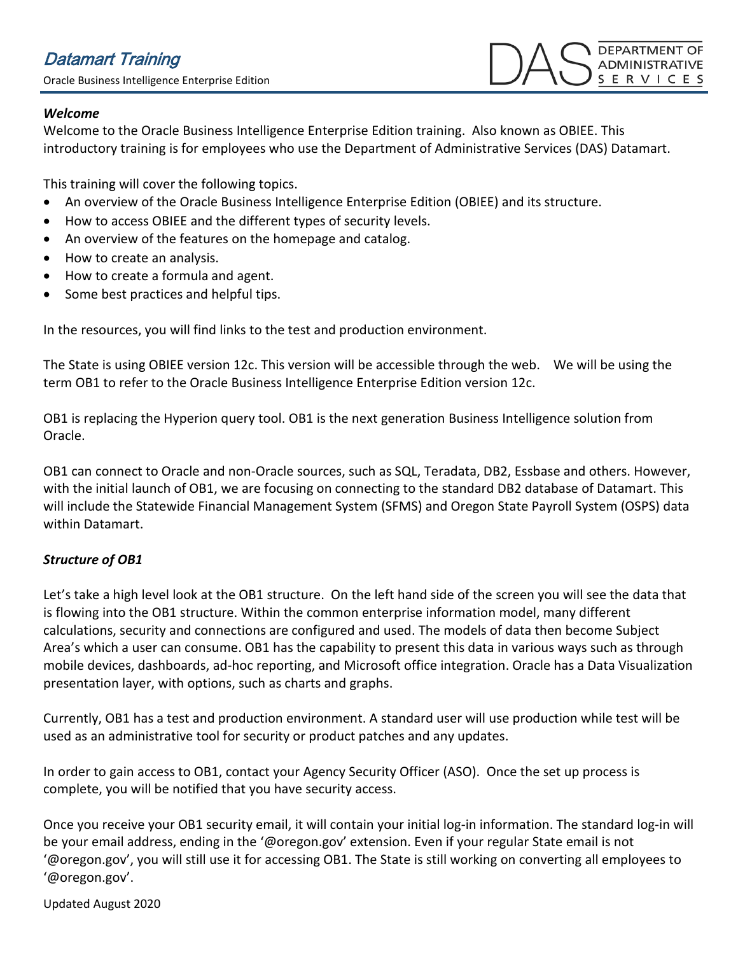## *Welcome*

Welcome to the Oracle Business Intelligence Enterprise Edition training. Also known as OBIEE. This introductory training is for employees who use the Department of Administrative Services (DAS) Datamart.

This training will cover the following topics.

- An overview of the Oracle Business Intelligence Enterprise Edition (OBIEE) and its structure.
- How to access OBIEE and the different types of security levels.
- An overview of the features on the homepage and catalog.
- How to create an analysis.
- How to create a formula and agent.
- Some best practices and helpful tips.

In the resources, you will find links to the test and production environment.

The State is using OBIEE version 12c. This version will be accessible through the web. We will be using the term OB1 to refer to the Oracle Business Intelligence Enterprise Edition version 12c.

OB1 is replacing the Hyperion query tool. OB1 is the next generation Business Intelligence solution from Oracle.

OB1 can connect to Oracle and non-Oracle sources, such as SQL, Teradata, DB2, Essbase and others. However, with the initial launch of OB1, we are focusing on connecting to the standard DB2 database of Datamart. This will include the Statewide Financial Management System (SFMS) and Oregon State Payroll System (OSPS) data within Datamart.

# *Structure of OB1*

Let's take a high level look at the OB1 structure. On the left hand side of the screen you will see the data that is flowing into the OB1 structure. Within the common enterprise information model, many different calculations, security and connections are configured and used. The models of data then become Subject Area's which a user can consume. OB1 has the capability to present this data in various ways such as through mobile devices, dashboards, ad-hoc reporting, and Microsoft office integration. Oracle has a Data Visualization presentation layer, with options, such as charts and graphs.

Currently, OB1 has a test and production environment. A standard user will use production while test will be used as an administrative tool for security or product patches and any updates.

In order to gain access to OB1, contact your Agency Security Officer (ASO). Once the set up process is complete, you will be notified that you have security access.

Once you receive your OB1 security email, it will contain your initial log-in information. The standard log-in will be your email address, ending in the '@oregon.gov' extension. Even if your regular State email is not '@oregon.gov', you will still use it for accessing OB1. The State is still working on converting all employees to '@oregon.gov'.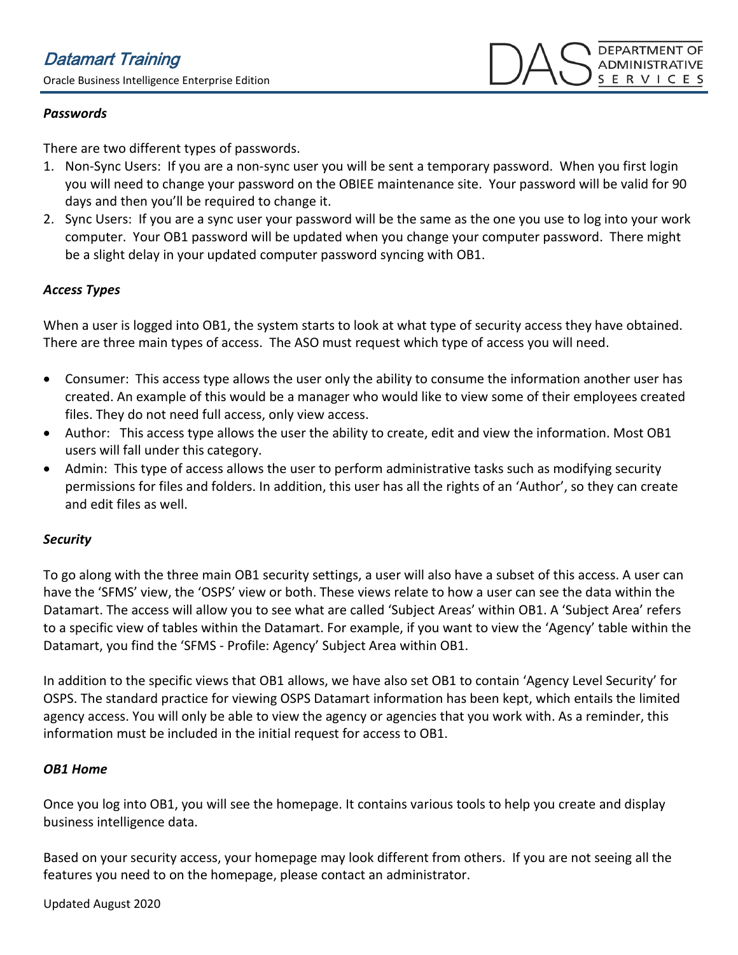## *Passwords*

There are two different types of passwords.

- 1. Non-Sync Users: If you are a non-sync user you will be sent a temporary password. When you first login you will need to change your password on the OBIEE maintenance site. Your password will be valid for 90 days and then you'll be required to change it.
- 2. Sync Users: If you are a sync user your password will be the same as the one you use to log into your work computer. Your OB1 password will be updated when you change your computer password. There might be a slight delay in your updated computer password syncing with OB1.

## *Access Types*

When a user is logged into OB1, the system starts to look at what type of security access they have obtained. There are three main types of access. The ASO must request which type of access you will need.

- Consumer: This access type allows the user only the ability to consume the information another user has created. An example of this would be a manager who would like to view some of their employees created files. They do not need full access, only view access.
- Author: This access type allows the user the ability to create, edit and view the information. Most OB1 users will fall under this category.
- Admin: This type of access allows the user to perform administrative tasks such as modifying security permissions for files and folders. In addition, this user has all the rights of an 'Author', so they can create and edit files as well.

## *Security*

To go along with the three main OB1 security settings, a user will also have a subset of this access. A user can have the 'SFMS' view, the 'OSPS' view or both. These views relate to how a user can see the data within the Datamart. The access will allow you to see what are called 'Subject Areas' within OB1. A 'Subject Area' refers to a specific view of tables within the Datamart. For example, if you want to view the 'Agency' table within the Datamart, you find the 'SFMS - Profile: Agency' Subject Area within OB1.

In addition to the specific views that OB1 allows, we have also set OB1 to contain 'Agency Level Security' for OSPS. The standard practice for viewing OSPS Datamart information has been kept, which entails the limited agency access. You will only be able to view the agency or agencies that you work with. As a reminder, this information must be included in the initial request for access to OB1.

## *OB1 Home*

Once you log into OB1, you will see the homepage. It contains various tools to help you create and display business intelligence data.

Based on your security access, your homepage may look different from others. If you are not seeing all the features you need to on the homepage, please contact an administrator.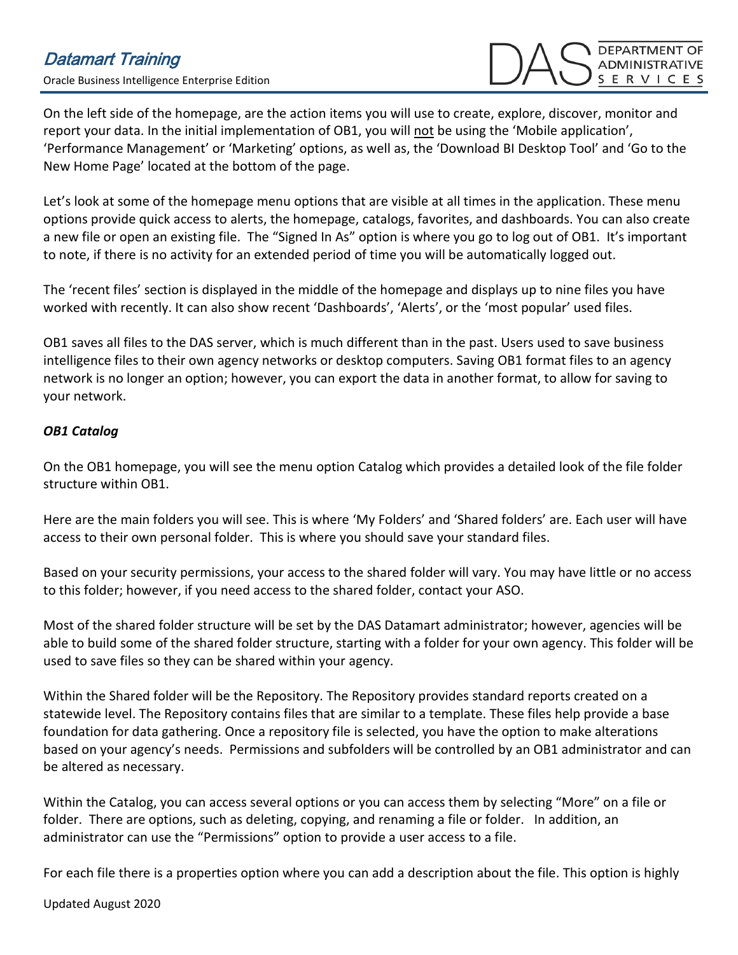On the left side of the homepage, are the action items you will use to create, explore, discover, monitor and report your data. In the initial implementation of OB1, you will not be using the 'Mobile application', 'Performance Management' or 'Marketing' options, as well as, the 'Download BI Desktop Tool' and 'Go to the New Home Page' located at the bottom of the page.

Let's look at some of the homepage menu options that are visible at all times in the application. These menu options provide quick access to alerts, the homepage, catalogs, favorites, and dashboards. You can also create a new file or open an existing file. The "Signed In As" option is where you go to log out of OB1. It's important to note, if there is no activity for an extended period of time you will be automatically logged out.

The 'recent files' section is displayed in the middle of the homepage and displays up to nine files you have worked with recently. It can also show recent 'Dashboards', 'Alerts', or the 'most popular' used files.

OB1 saves all files to the DAS server, which is much different than in the past. Users used to save business intelligence files to their own agency networks or desktop computers. Saving OB1 format files to an agency network is no longer an option; however, you can export the data in another format, to allow for saving to your network.

## *OB1 Catalog*

On the OB1 homepage, you will see the menu option Catalog which provides a detailed look of the file folder structure within OB1.

Here are the main folders you will see. This is where 'My Folders' and 'Shared folders' are. Each user will have access to their own personal folder. This is where you should save your standard files.

Based on your security permissions, your access to the shared folder will vary. You may have little or no access to this folder; however, if you need access to the shared folder, contact your ASO.

Most of the shared folder structure will be set by the DAS Datamart administrator; however, agencies will be able to build some of the shared folder structure, starting with a folder for your own agency. This folder will be used to save files so they can be shared within your agency.

Within the Shared folder will be the Repository. The Repository provides standard reports created on a statewide level. The Repository contains files that are similar to a template. These files help provide a base foundation for data gathering. Once a repository file is selected, you have the option to make alterations based on your agency's needs. Permissions and subfolders will be controlled by an OB1 administrator and can be altered as necessary.

Within the Catalog, you can access several options or you can access them by selecting "More" on a file or folder. There are options, such as deleting, copying, and renaming a file or folder. In addition, an administrator can use the "Permissions" option to provide a user access to a file.

For each file there is a properties option where you can add a description about the file. This option is highly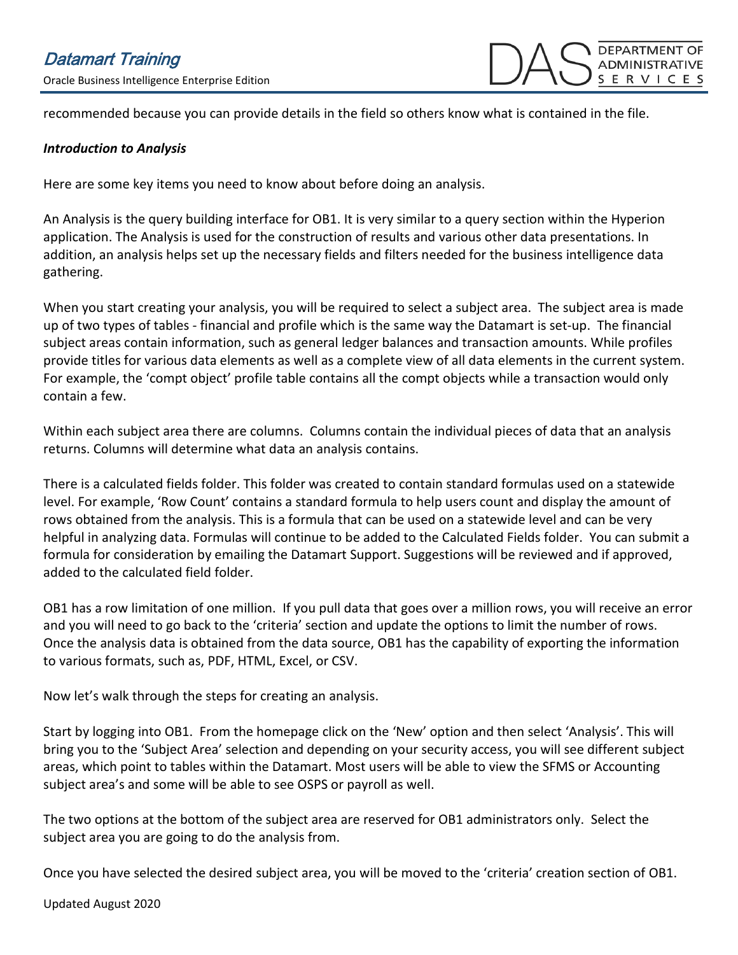recommended because you can provide details in the field so others know what is contained in the file.

#### *Introduction to Analysis*

Here are some key items you need to know about before doing an analysis.

An Analysis is the query building interface for OB1. It is very similar to a query section within the Hyperion application. The Analysis is used for the construction of results and various other data presentations. In addition, an analysis helps set up the necessary fields and filters needed for the business intelligence data gathering.

When you start creating your analysis, you will be required to select a subject area. The subject area is made up of two types of tables - financial and profile which is the same way the Datamart is set-up. The financial subject areas contain information, such as general ledger balances and transaction amounts. While profiles provide titles for various data elements as well as a complete view of all data elements in the current system. For example, the 'compt object' profile table contains all the compt objects while a transaction would only contain a few.

Within each subject area there are columns. Columns contain the individual pieces of data that an analysis returns. Columns will determine what data an analysis contains.

There is a calculated fields folder. This folder was created to contain standard formulas used on a statewide level. For example, 'Row Count' contains a standard formula to help users count and display the amount of rows obtained from the analysis. This is a formula that can be used on a statewide level and can be very helpful in analyzing data. Formulas will continue to be added to the Calculated Fields folder. You can submit a formula for consideration by emailing the Datamart Support. Suggestions will be reviewed and if approved, added to the calculated field folder.

OB1 has a row limitation of one million. If you pull data that goes over a million rows, you will receive an error and you will need to go back to the 'criteria' section and update the options to limit the number of rows. Once the analysis data is obtained from the data source, OB1 has the capability of exporting the information to various formats, such as, PDF, HTML, Excel, or CSV.

Now let's walk through the steps for creating an analysis.

Start by logging into OB1. From the homepage click on the 'New' option and then select 'Analysis'. This will bring you to the 'Subject Area' selection and depending on your security access, you will see different subject areas, which point to tables within the Datamart. Most users will be able to view the SFMS or Accounting subject area's and some will be able to see OSPS or payroll as well.

The two options at the bottom of the subject area are reserved for OB1 administrators only. Select the subject area you are going to do the analysis from.

Once you have selected the desired subject area, you will be moved to the 'criteria' creation section of OB1.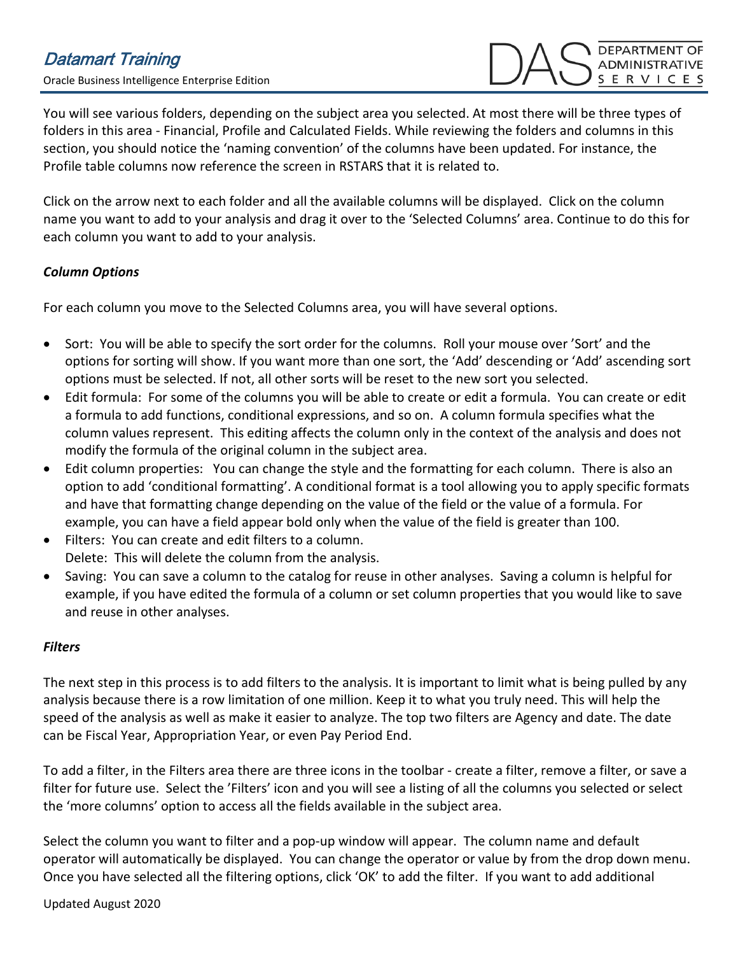**DEPARTMENT OF** ADMINISTRATIVE **S E R V I C E S** 

You will see various folders, depending on the subject area you selected. At most there will be three types of folders in this area - Financial, Profile and Calculated Fields. While reviewing the folders and columns in this section, you should notice the 'naming convention' of the columns have been updated. For instance, the Profile table columns now reference the screen in RSTARS that it is related to.

Click on the arrow next to each folder and all the available columns will be displayed. Click on the column name you want to add to your analysis and drag it over to the 'Selected Columns' area. Continue to do this for each column you want to add to your analysis.

# *Column Options*

For each column you move to the Selected Columns area, you will have several options.

- Sort: You will be able to specify the sort order for the columns. Roll your mouse over 'Sort' and the options for sorting will show. If you want more than one sort, the 'Add' descending or 'Add' ascending sort options must be selected. If not, all other sorts will be reset to the new sort you selected.
- Edit formula: For some of the columns you will be able to create or edit a formula. You can create or edit a formula to add functions, conditional expressions, and so on. A column formula specifies what the column values represent. This editing affects the column only in the context of the analysis and does not modify the formula of the original column in the subject area.
- Edit column properties: You can change the style and the formatting for each column. There is also an option to add 'conditional formatting'. A conditional format is a tool allowing you to apply specific formats and have that formatting change depending on the value of the field or the value of a formula. For example, you can have a field appear bold only when the value of the field is greater than 100.
- Filters: You can create and edit filters to a column. Delete: This will delete the column from the analysis.
- Saving: You can save a column to the catalog for reuse in other analyses. Saving a column is helpful for example, if you have edited the formula of a column or set column properties that you would like to save and reuse in other analyses.

# *Filters*

The next step in this process is to add filters to the analysis. It is important to limit what is being pulled by any analysis because there is a row limitation of one million. Keep it to what you truly need. This will help the speed of the analysis as well as make it easier to analyze. The top two filters are Agency and date. The date can be Fiscal Year, Appropriation Year, or even Pay Period End.

To add a filter, in the Filters area there are three icons in the toolbar - create a filter, remove a filter, or save a filter for future use. Select the 'Filters' icon and you will see a listing of all the columns you selected or select the 'more columns' option to access all the fields available in the subject area.

Select the column you want to filter and a pop-up window will appear. The column name and default operator will automatically be displayed. You can change the operator or value by from the drop down menu. Once you have selected all the filtering options, click 'OK' to add the filter. If you want to add additional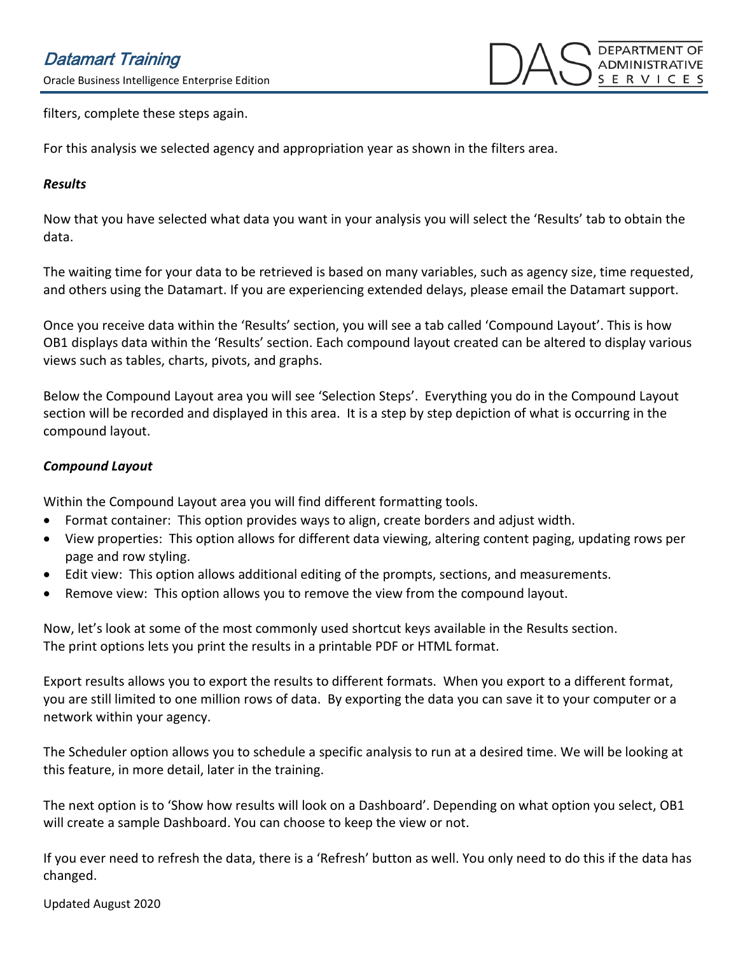Oracle Business Intelligence Enterprise Edition



filters, complete these steps again.

For this analysis we selected agency and appropriation year as shown in the filters area.

#### *Results*

Now that you have selected what data you want in your analysis you will select the 'Results' tab to obtain the data.

The waiting time for your data to be retrieved is based on many variables, such as agency size, time requested, and others using the Datamart. If you are experiencing extended delays, please email the Datamart support.

Once you receive data within the 'Results' section, you will see a tab called 'Compound Layout'. This is how OB1 displays data within the 'Results' section. Each compound layout created can be altered to display various views such as tables, charts, pivots, and graphs.

Below the Compound Layout area you will see 'Selection Steps'. Everything you do in the Compound Layout section will be recorded and displayed in this area. It is a step by step depiction of what is occurring in the compound layout.

## *Compound Layout*

Within the Compound Layout area you will find different formatting tools.

- Format container: This option provides ways to align, create borders and adjust width.
- View properties: This option allows for different data viewing, altering content paging, updating rows per page and row styling.
- Edit view: This option allows additional editing of the prompts, sections, and measurements.
- Remove view: This option allows you to remove the view from the compound layout.

Now, let's look at some of the most commonly used shortcut keys available in the Results section. The print options lets you print the results in a printable PDF or HTML format.

Export results allows you to export the results to different formats. When you export to a different format, you are still limited to one million rows of data. By exporting the data you can save it to your computer or a network within your agency.

The Scheduler option allows you to schedule a specific analysis to run at a desired time. We will be looking at this feature, in more detail, later in the training.

The next option is to 'Show how results will look on a Dashboard'. Depending on what option you select, OB1 will create a sample Dashboard. You can choose to keep the view or not.

If you ever need to refresh the data, there is a 'Refresh' button as well. You only need to do this if the data has changed.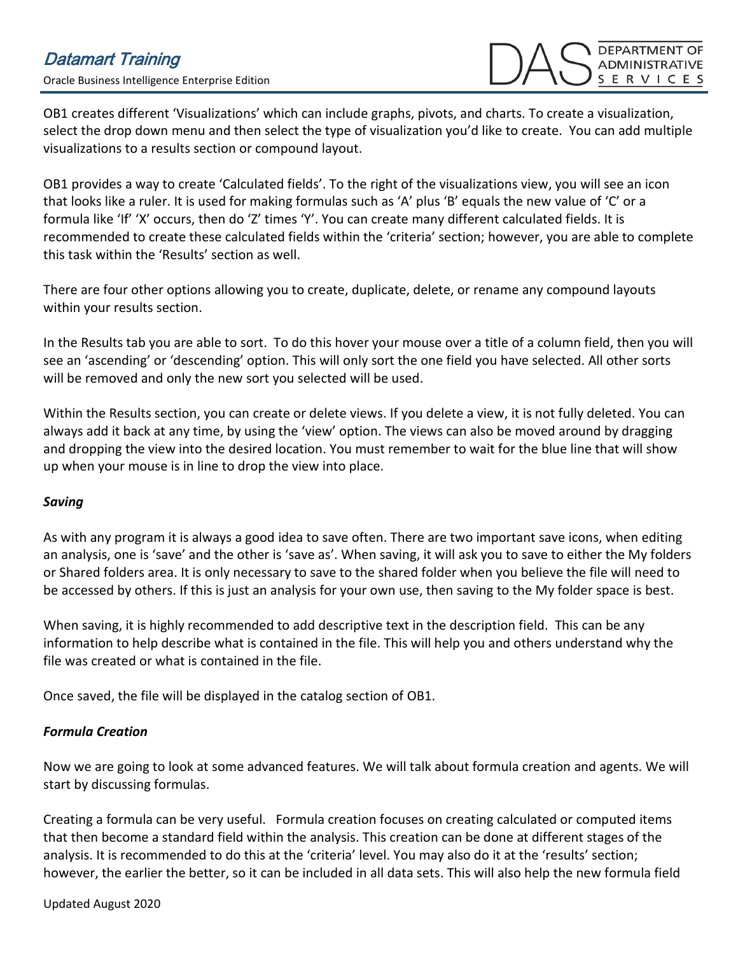OB1 creates different 'Visualizations' which can include graphs, pivots, and charts. To create a visualization, select the drop down menu and then select the type of visualization you'd like to create. You can add multiple visualizations to a results section or compound layout.

OB1 provides a way to create 'Calculated fields'. To the right of the visualizations view, you will see an icon that looks like a ruler. It is used for making formulas such as 'A' plus 'B' equals the new value of 'C' or a formula like 'If' 'X' occurs, then do 'Z' times 'Y'. You can create many different calculated fields. It is recommended to create these calculated fields within the 'criteria' section; however, you are able to complete this task within the 'Results' section as well.

There are four other options allowing you to create, duplicate, delete, or rename any compound layouts within your results section.

In the Results tab you are able to sort. To do this hover your mouse over a title of a column field, then you will see an 'ascending' or 'descending' option. This will only sort the one field you have selected. All other sorts will be removed and only the new sort you selected will be used.

Within the Results section, you can create or delete views. If you delete a view, it is not fully deleted. You can always add it back at any time, by using the 'view' option. The views can also be moved around by dragging and dropping the view into the desired location. You must remember to wait for the blue line that will show up when your mouse is in line to drop the view into place.

## *Saving*

As with any program it is always a good idea to save often. There are two important save icons, when editing an analysis, one is 'save' and the other is 'save as'. When saving, it will ask you to save to either the My folders or Shared folders area. It is only necessary to save to the shared folder when you believe the file will need to be accessed by others. If this is just an analysis for your own use, then saving to the My folder space is best.

When saving, it is highly recommended to add descriptive text in the description field. This can be any information to help describe what is contained in the file. This will help you and others understand why the file was created or what is contained in the file.

Once saved, the file will be displayed in the catalog section of OB1.

# *Formula Creation*

Now we are going to look at some advanced features. We will talk about formula creation and agents. We will start by discussing formulas.

Creating a formula can be very useful. Formula creation focuses on creating calculated or computed items that then become a standard field within the analysis. This creation can be done at different stages of the analysis. It is recommended to do this at the 'criteria' level. You may also do it at the 'results' section; however, the earlier the better, so it can be included in all data sets. This will also help the new formula field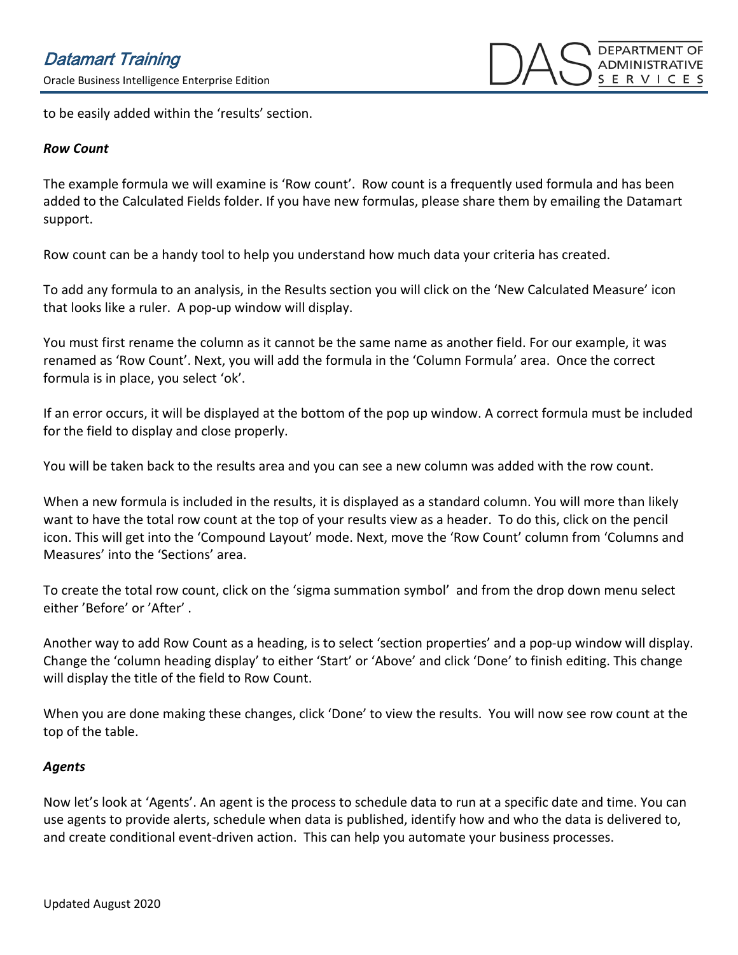to be easily added within the 'results' section.

#### *Row Count*

The example formula we will examine is 'Row count'. Row count is a frequently used formula and has been added to the Calculated Fields folder. If you have new formulas, please share them by emailing the Datamart support.

Row count can be a handy tool to help you understand how much data your criteria has created.

To add any formula to an analysis, in the Results section you will click on the 'New Calculated Measure' icon that looks like a ruler. A pop-up window will display.

You must first rename the column as it cannot be the same name as another field. For our example, it was renamed as 'Row Count'. Next, you will add the formula in the 'Column Formula' area. Once the correct formula is in place, you select 'ok'.

If an error occurs, it will be displayed at the bottom of the pop up window. A correct formula must be included for the field to display and close properly.

You will be taken back to the results area and you can see a new column was added with the row count.

When a new formula is included in the results, it is displayed as a standard column. You will more than likely want to have the total row count at the top of your results view as a header. To do this, click on the pencil icon. This will get into the 'Compound Layout' mode. Next, move the 'Row Count' column from 'Columns and Measures' into the 'Sections' area.

To create the total row count, click on the 'sigma summation symbol' and from the drop down menu select either 'Before' or 'After' .

Another way to add Row Count as a heading, is to select 'section properties' and a pop-up window will display. Change the 'column heading display' to either 'Start' or 'Above' and click 'Done' to finish editing. This change will display the title of the field to Row Count.

When you are done making these changes, click 'Done' to view the results. You will now see row count at the top of the table.

## *Agents*

Now let's look at 'Agents'. An agent is the process to schedule data to run at a specific date and time. You can use agents to provide alerts, schedule when data is published, identify how and who the data is delivered to, and create conditional event-driven action. This can help you automate your business processes.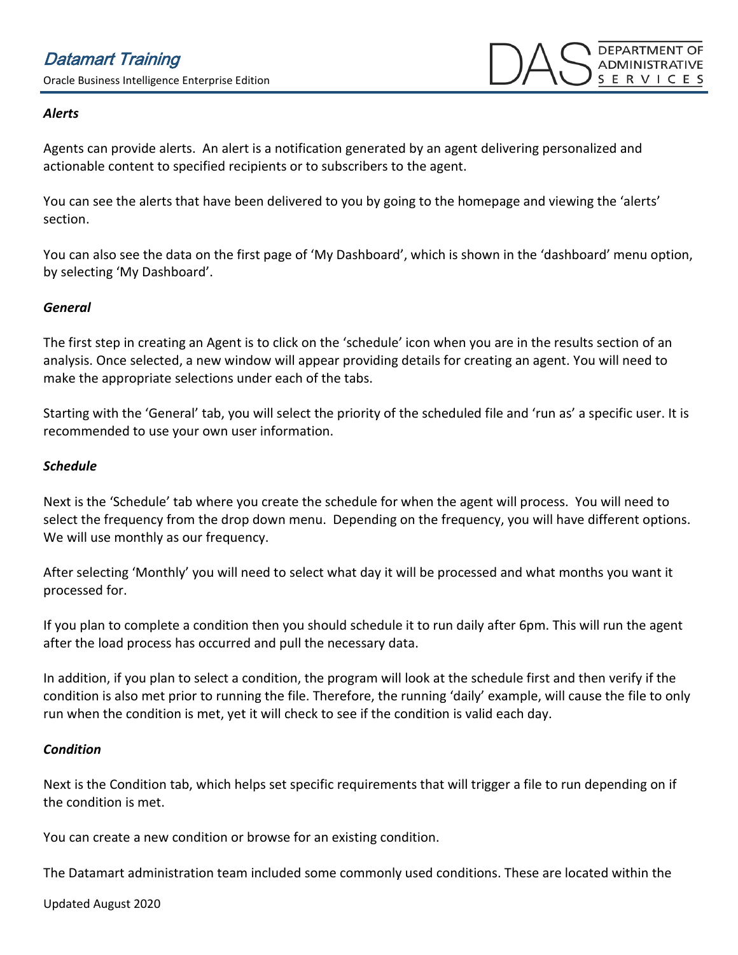## *Alerts*

Agents can provide alerts. An alert is a notification generated by an agent delivering personalized and actionable content to specified recipients or to subscribers to the agent.

You can see the alerts that have been delivered to you by going to the homepage and viewing the 'alerts' section.

You can also see the data on the first page of 'My Dashboard', which is shown in the 'dashboard' menu option, by selecting 'My Dashboard'.

## *General*

The first step in creating an Agent is to click on the 'schedule' icon when you are in the results section of an analysis. Once selected, a new window will appear providing details for creating an agent. You will need to make the appropriate selections under each of the tabs.

Starting with the 'General' tab, you will select the priority of the scheduled file and 'run as' a specific user. It is recommended to use your own user information.

#### *Schedule*

Next is the 'Schedule' tab where you create the schedule for when the agent will process. You will need to select the frequency from the drop down menu. Depending on the frequency, you will have different options. We will use monthly as our frequency.

After selecting 'Monthly' you will need to select what day it will be processed and what months you want it processed for.

If you plan to complete a condition then you should schedule it to run daily after 6pm. This will run the agent after the load process has occurred and pull the necessary data.

In addition, if you plan to select a condition, the program will look at the schedule first and then verify if the condition is also met prior to running the file. Therefore, the running 'daily' example, will cause the file to only run when the condition is met, yet it will check to see if the condition is valid each day.

#### *Condition*

Next is the Condition tab, which helps set specific requirements that will trigger a file to run depending on if the condition is met.

You can create a new condition or browse for an existing condition.

The Datamart administration team included some commonly used conditions. These are located within the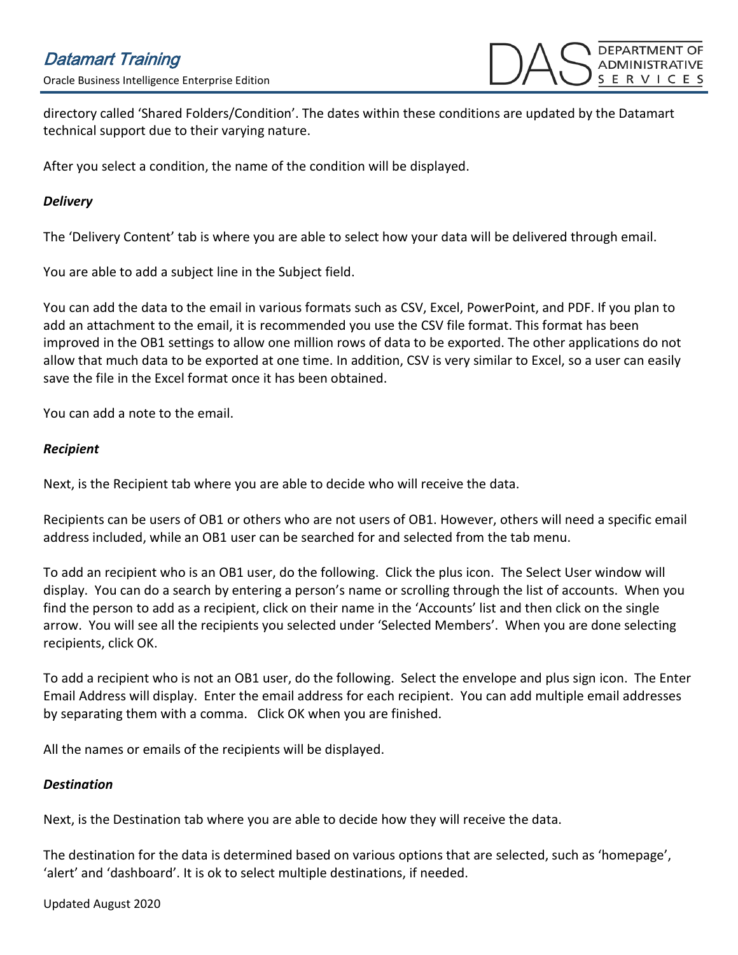directory called 'Shared Folders/Condition'. The dates within these conditions are updated by the Datamart technical support due to their varying nature.

After you select a condition, the name of the condition will be displayed.

## *Delivery*

The 'Delivery Content' tab is where you are able to select how your data will be delivered through email.

You are able to add a subject line in the Subject field.

You can add the data to the email in various formats such as CSV, Excel, PowerPoint, and PDF. If you plan to add an attachment to the email, it is recommended you use the CSV file format. This format has been improved in the OB1 settings to allow one million rows of data to be exported. The other applications do not allow that much data to be exported at one time. In addition, CSV is very similar to Excel, so a user can easily save the file in the Excel format once it has been obtained.

You can add a note to the email.

## *Recipient*

Next, is the Recipient tab where you are able to decide who will receive the data.

Recipients can be users of OB1 or others who are not users of OB1. However, others will need a specific email address included, while an OB1 user can be searched for and selected from the tab menu.

To add an recipient who is an OB1 user, do the following. Click the plus icon. The Select User window will display. You can do a search by entering a person's name or scrolling through the list of accounts. When you find the person to add as a recipient, click on their name in the 'Accounts' list and then click on the single arrow. You will see all the recipients you selected under 'Selected Members'. When you are done selecting recipients, click OK.

To add a recipient who is not an OB1 user, do the following. Select the envelope and plus sign icon. The Enter Email Address will display. Enter the email address for each recipient. You can add multiple email addresses by separating them with a comma. Click OK when you are finished.

All the names or emails of the recipients will be displayed.

## *Destination*

Next, is the Destination tab where you are able to decide how they will receive the data.

The destination for the data is determined based on various options that are selected, such as 'homepage', 'alert' and 'dashboard'. It is ok to select multiple destinations, if needed.